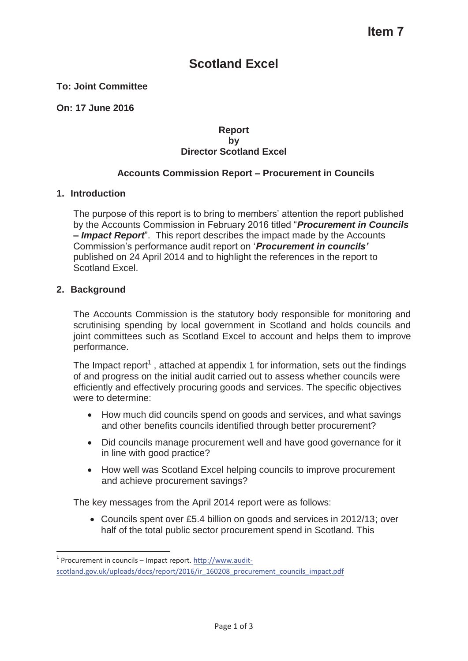# **Scotland Excel**

#### **To: Joint Committee**

**On: 17 June 2016** 

#### **Report by Director Scotland Excel**

#### **Accounts Commission Report – Procurement in Councils**

#### **1. Introduction**

The purpose of this report is to bring to members' attention the report published by the Accounts Commission in February 2016 titled "*Procurement in Councils – Impact Report*". This report describes the impact made by the Accounts Commission's performance audit report on '*Procurement in councils'* published on 24 April 2014 and to highlight the references in the report to Scotland Excel.

#### **2. Background**

The Accounts Commission is the statutory body responsible for monitoring and scrutinising spending by local government in Scotland and holds councils and joint committees such as Scotland Excel to account and helps them to improve performance.

The Impact report<sup>1</sup>, attached at appendix 1 for information, sets out the findings of and progress on the initial audit carried out to assess whether councils were efficiently and effectively procuring goods and services. The specific objectives were to determine:

- How much did councils spend on goods and services, and what savings and other benefits councils identified through better procurement?
- Did councils manage procurement well and have good governance for it in line with good practice?
- How well was Scotland Excel helping councils to improve procurement and achieve procurement savings?

The key messages from the April 2014 report were as follows:

• Councils spent over £5.4 billion on goods and services in 2012/13; over half of the total public sector procurement spend in Scotland. This

<sup>&</sup>lt;sup>1</sup> Procurement in councils – Impact report. http://www.auditscotland.gov.uk/uploads/docs/report/2016/ir\_160208\_procurement\_councils\_impact.pdf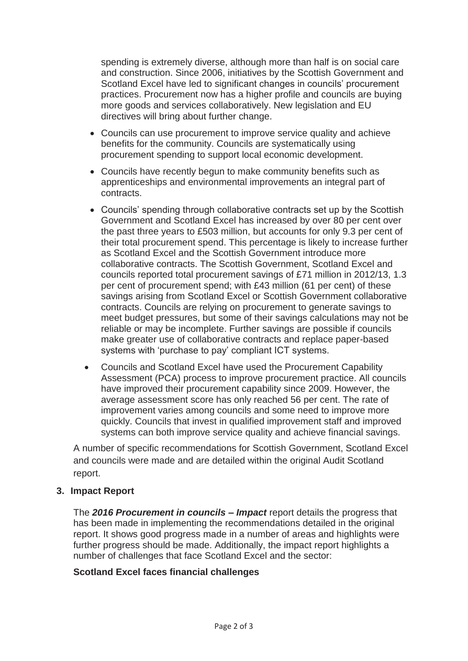spending is extremely diverse, although more than half is on social care and construction. Since 2006, initiatives by the Scottish Government and Scotland Excel have led to significant changes in councils' procurement practices. Procurement now has a higher profile and councils are buying more goods and services collaboratively. New legislation and EU directives will bring about further change.

- Councils can use procurement to improve service quality and achieve benefits for the community. Councils are systematically using procurement spending to support local economic development.
- Councils have recently begun to make community benefits such as apprenticeships and environmental improvements an integral part of contracts.
- Councils' spending through collaborative contracts set up by the Scottish Government and Scotland Excel has increased by over 80 per cent over the past three years to £503 million, but accounts for only 9.3 per cent of their total procurement spend. This percentage is likely to increase further as Scotland Excel and the Scottish Government introduce more collaborative contracts. The Scottish Government, Scotland Excel and councils reported total procurement savings of £71 million in 2012/13, 1.3 per cent of procurement spend; with £43 million (61 per cent) of these savings arising from Scotland Excel or Scottish Government collaborative contracts. Councils are relying on procurement to generate savings to meet budget pressures, but some of their savings calculations may not be reliable or may be incomplete. Further savings are possible if councils make greater use of collaborative contracts and replace paper-based systems with 'purchase to pay' compliant ICT systems.
- Councils and Scotland Excel have used the Procurement Capability Assessment (PCA) process to improve procurement practice. All councils have improved their procurement capability since 2009. However, the average assessment score has only reached 56 per cent. The rate of improvement varies among councils and some need to improve more quickly. Councils that invest in qualified improvement staff and improved systems can both improve service quality and achieve financial savings.

A number of specific recommendations for Scottish Government, Scotland Excel and councils were made and are detailed within the original Audit Scotland report.

#### **3. Impact Report**

The *2016 Procurement in councils – Impact* report details the progress that has been made in implementing the recommendations detailed in the original report. It shows good progress made in a number of areas and highlights were further progress should be made. Additionally, the impact report highlights a number of challenges that face Scotland Excel and the sector:

#### **Scotland Excel faces financial challenges**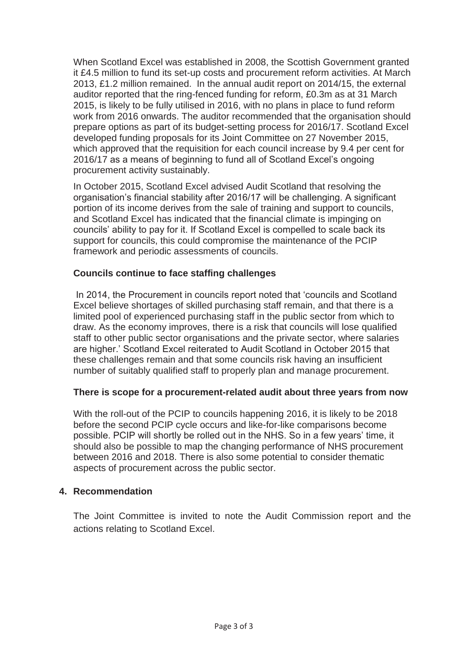When Scotland Excel was established in 2008, the Scottish Government granted it £4.5 million to fund its set-up costs and procurement reform activities. At March 2013, £1.2 million remained. In the annual audit report on 2014/15, the external auditor reported that the ring-fenced funding for reform, £0.3m as at 31 March 2015, is likely to be fully utilised in 2016, with no plans in place to fund reform work from 2016 onwards. The auditor recommended that the organisation should prepare options as part of its budget-setting process for 2016/17. Scotland Excel developed funding proposals for its Joint Committee on 27 November 2015, which approved that the requisition for each council increase by 9.4 per cent for 2016/17 as a means of beginning to fund all of Scotland Excel's ongoing procurement activity sustainably.

In October 2015, Scotland Excel advised Audit Scotland that resolving the organisation's financial stability after 2016/17 will be challenging. A significant portion of its income derives from the sale of training and support to councils, and Scotland Excel has indicated that the financial climate is impinging on councils' ability to pay for it. If Scotland Excel is compelled to scale back its support for councils, this could compromise the maintenance of the PCIP framework and periodic assessments of councils.

#### **Councils continue to face staffing challenges**

In 2014, the Procurement in councils report noted that 'councils and Scotland Excel believe shortages of skilled purchasing staff remain, and that there is a limited pool of experienced purchasing staff in the public sector from which to draw. As the economy improves, there is a risk that councils will lose qualified staff to other public sector organisations and the private sector, where salaries are higher.' Scotland Excel reiterated to Audit Scotland in October 2015 that these challenges remain and that some councils risk having an insufficient number of suitably qualified staff to properly plan and manage procurement.

#### **There is scope for a procurement-related audit about three years from now**

With the roll-out of the PCIP to councils happening 2016, it is likely to be 2018 before the second PCIP cycle occurs and like-for-like comparisons become possible. PCIP will shortly be rolled out in the NHS. So in a few years' time, it should also be possible to map the changing performance of NHS procurement between 2016 and 2018. There is also some potential to consider thematic aspects of procurement across the public sector.

#### **4. Recommendation**

The Joint Committee is invited to note the Audit Commission report and the actions relating to Scotland Excel.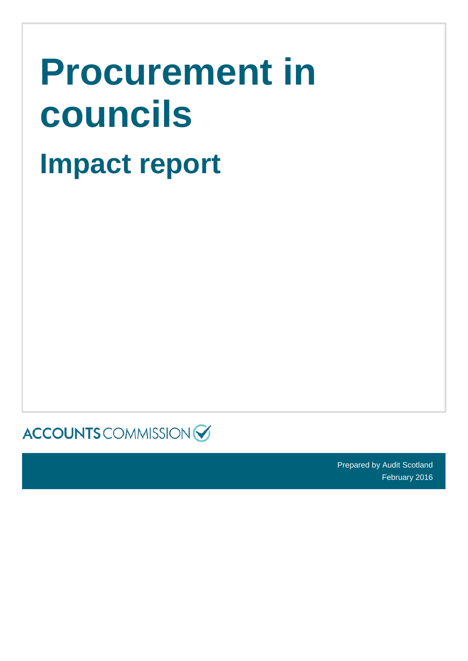| <b>Procurement in</b> |
|-----------------------|
| councils              |
| <b>Impact report</b>  |

 $\textsf{ACCOUNTS}$  COMMISSION

Prepared by Audit Scotland February 2016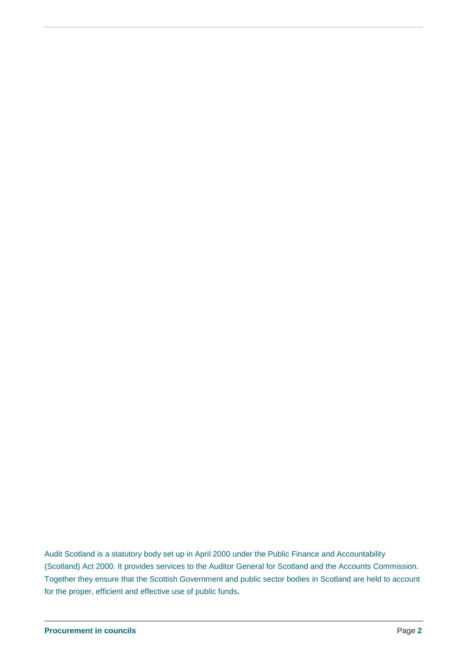Audit Scotland is a statutory body set up in April 2000 under the Public Finance and Accountability (Scotland) Act 2000. It provides services to the Auditor General for Scotland and the Accounts Commission. Together they ensure that the Scottish Government and public sector bodies in Scotland are held to account for the proper, efficient and effective use of public funds**.**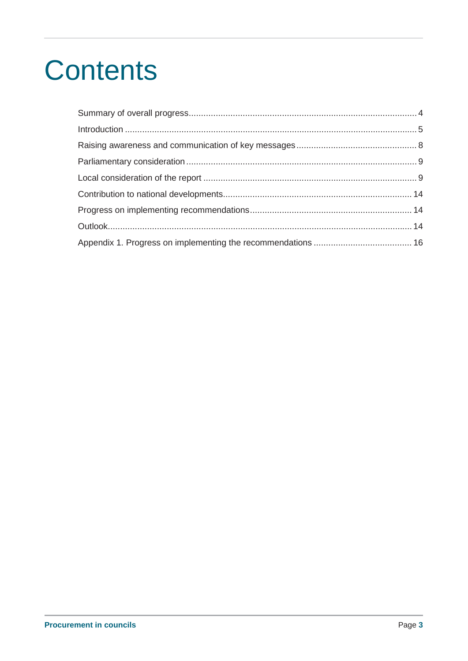# **Contents**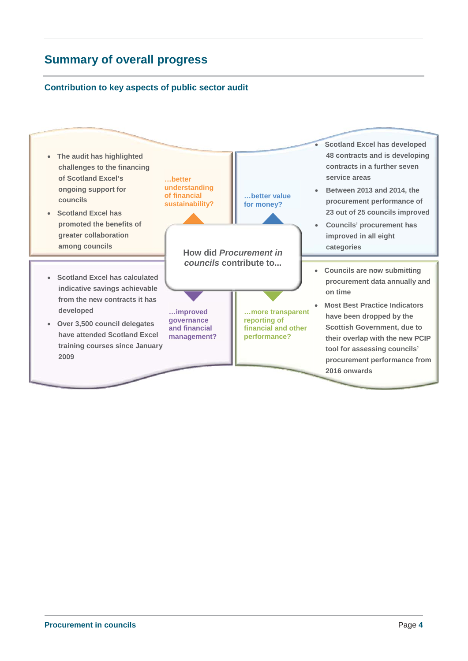# **Summary of overall progress**

#### **Contribution to key aspects of public sector audit**

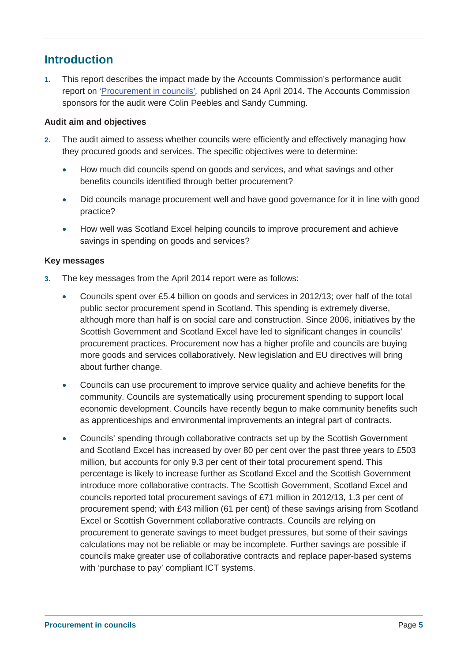# **Introduction**

**1.** This report describes the impact made by the Accounts Commission's performance audit report on 'Procurement in councils'*,* published on 24 April 2014. The Accounts Commission sponsors for the audit were Colin Peebles and Sandy Cumming.

#### **Audit aim and objectives**

- **2.** The audit aimed to assess whether councils were efficiently and effectively managing how they procured goods and services. The specific objectives were to determine:
	- How much did councils spend on goods and services, and what savings and other benefits councils identified through better procurement?
	- Did councils manage procurement well and have good governance for it in line with good practice?
	- How well was Scotland Excel helping councils to improve procurement and achieve savings in spending on goods and services?

#### **Key messages**

- **3.** The key messages from the April 2014 report were as follows:
	- Councils spent over £5.4 billion on goods and services in 2012/13; over half of the total public sector procurement spend in Scotland. This spending is extremely diverse, although more than half is on social care and construction. Since 2006, initiatives by the Scottish Government and Scotland Excel have led to significant changes in councils' procurement practices. Procurement now has a higher profile and councils are buying more goods and services collaboratively. New legislation and EU directives will bring about further change.
	- Councils can use procurement to improve service quality and achieve benefits for the community. Councils are systematically using procurement spending to support local economic development. Councils have recently begun to make community benefits such as apprenticeships and environmental improvements an integral part of contracts.
	- Councils' spending through collaborative contracts set up by the Scottish Government and Scotland Excel has increased by over 80 per cent over the past three years to £503 million, but accounts for only 9.3 per cent of their total procurement spend. This percentage is likely to increase further as Scotland Excel and the Scottish Government introduce more collaborative contracts. The Scottish Government, Scotland Excel and councils reported total procurement savings of £71 million in 2012/13, 1.3 per cent of procurement spend; with £43 million (61 per cent) of these savings arising from Scotland Excel or Scottish Government collaborative contracts. Councils are relying on procurement to generate savings to meet budget pressures, but some of their savings calculations may not be reliable or may be incomplete. Further savings are possible if councils make greater use of collaborative contracts and replace paper-based systems with 'purchase to pay' compliant ICT systems.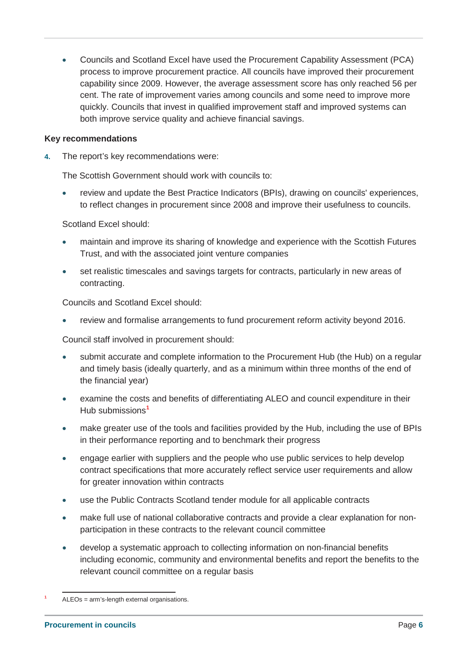• Councils and Scotland Excel have used the Procurement Capability Assessment (PCA) process to improve procurement practice. All councils have improved their procurement capability since 2009. However, the average assessment score has only reached 56 per cent. The rate of improvement varies among councils and some need to improve more quickly. Councils that invest in qualified improvement staff and improved systems can both improve service quality and achieve financial savings.

#### **Key recommendations**

**4.** The report's key recommendations were:

The Scottish Government should work with councils to:

review and update the Best Practice Indicators (BPIs), drawing on councils' experiences, to reflect changes in procurement since 2008 and improve their usefulness to councils.

Scotland Excel should:

- maintain and improve its sharing of knowledge and experience with the Scottish Futures Trust, and with the associated joint venture companies
- set realistic timescales and savings targets for contracts, particularly in new areas of contracting.

Councils and Scotland Excel should:

review and formalise arrangements to fund procurement reform activity beyond 2016.

Council staff involved in procurement should:

- submit accurate and complete information to the Procurement Hub (the Hub) on a regular and timely basis (ideally quarterly, and as a minimum within three months of the end of the financial year)
- x examine the costs and benefits of differentiating ALEO and council expenditure in their Hub submissions**<sup>1</sup>**
- make greater use of the tools and facilities provided by the Hub, including the use of BPIs in their performance reporting and to benchmark their progress
- engage earlier with suppliers and the people who use public services to help develop contract specifications that more accurately reflect service user requirements and allow for greater innovation within contracts
- use the Public Contracts Scotland tender module for all applicable contracts
- make full use of national collaborative contracts and provide a clear explanation for nonparticipation in these contracts to the relevant council committee
- develop a systematic approach to collecting information on non-financial benefits including economic, community and environmental benefits and report the benefits to the relevant council committee on a regular basis

**<sup>1</sup>** ALEOs = arm's-length external organisations.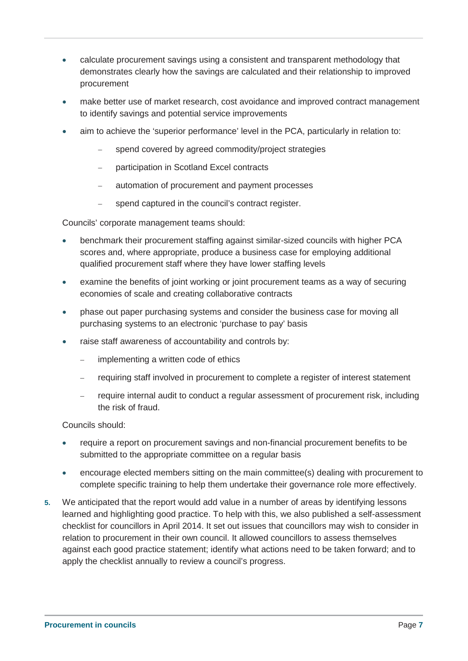- calculate procurement savings using a consistent and transparent methodology that demonstrates clearly how the savings are calculated and their relationship to improved procurement
- make better use of market research, cost avoidance and improved contract management to identify savings and potential service improvements
- aim to achieve the 'superior performance' level in the PCA, particularly in relation to:
	- spend covered by agreed commodity/project strategies
	- participation in Scotland Excel contracts
	- automation of procurement and payment processes
	- spend captured in the council's contract register.

Councils' corporate management teams should:

- benchmark their procurement staffing against similar-sized councils with higher PCA scores and, where appropriate, produce a business case for employing additional qualified procurement staff where they have lower staffing levels
- x examine the benefits of joint working or joint procurement teams as a way of securing economies of scale and creating collaborative contracts
- phase out paper purchasing systems and consider the business case for moving all purchasing systems to an electronic 'purchase to pay' basis
- raise staff awareness of accountability and controls by:
	- implementing a written code of ethics
	- requiring staff involved in procurement to complete a register of interest statement
	- require internal audit to conduct a regular assessment of procurement risk, including the risk of fraud.

Councils should:

- require a report on procurement savings and non-financial procurement benefits to be submitted to the appropriate committee on a regular basis
- encourage elected members sitting on the main committee(s) dealing with procurement to complete specific training to help them undertake their governance role more effectively.
- **5.** We anticipated that the report would add value in a number of areas by identifying lessons learned and highlighting good practice. To help with this, we also published a self-assessment checklist for councillors in April 2014. It set out issues that councillors may wish to consider in relation to procurement in their own council. It allowed councillors to assess themselves against each good practice statement; identify what actions need to be taken forward; and to apply the checklist annually to review a council's progress.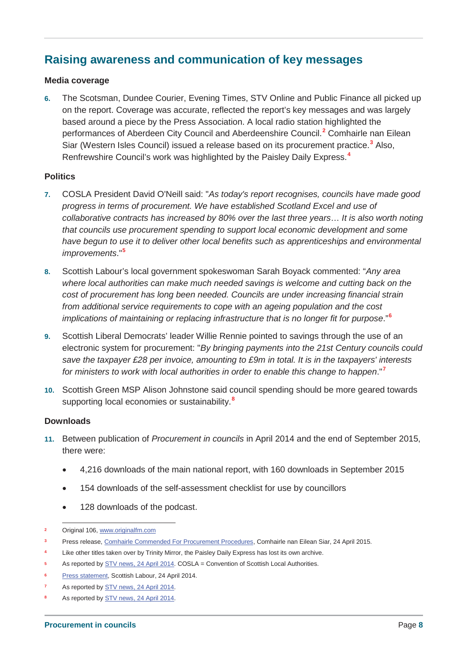# **Raising awareness and communication of key messages**

#### **Media coverage**

**6.** The Scotsman, Dundee Courier, Evening Times, STV Online and Public Finance all picked up on the report. Coverage was accurate, reflected the report's key messages and was largely based around a piece by the Press Association. A local radio station highlighted the performances of Aberdeen City Council and Aberdeenshire Council.**<sup>2</sup>** Comhairle nan Eilean Siar (Western Isles Council) issued a release based on its procurement practice.**<sup>3</sup>** Also, Renfrewshire Council's work was highlighted by the Paisley Daily Express.**<sup>4</sup>**

#### **Politics**

- **7.** COSLA President David O'Neill said: "*As today's report recognises, councils have made good progress in terms of procurement. We have established Scotland Excel and use of collaborative contracts has increased by 80% over the last three years*… *It is also worth noting that councils use procurement spending to support local economic development and some have begun to use it to deliver other local benefits such as apprenticeships and environmental improvements*."**<sup>5</sup>**
- **8.** Scottish Labour's local government spokeswoman Sarah Boyack commented: "*Any area where local authorities can make much needed savings is welcome and cutting back on the cost of procurement has long been needed. Councils are under increasing financial strain from additional service requirements to cope with an ageing population and the cost implications of maintaining or replacing infrastructure that is no longer fit for purpose*."**<sup>6</sup>**
- **9.** Scottish Liberal Democrats' leader Willie Rennie pointed to savings through the use of an electronic system for procurement: "*By bringing payments into the 21st Century councils could save the taxpayer £28 per invoice, amounting to £9m in total. It is in the taxpayers' interests for ministers to work with local authorities in order to enable this change to happen*."**<sup>7</sup>**
- **10.** Scottish Green MSP Alison Johnstone said council spending should be more geared towards supporting local economies or sustainability.**<sup>8</sup>**

#### **Downloads**

- **11.** Between publication of *Procurement in councils* in April 2014 and the end of September 2015, there were:
	- x 4,216 downloads of the main national report, with 160 downloads in September 2015
	- 154 downloads of the self-assessment checklist for use by councillors
	- 128 downloads of the podcast.
- **<sup>2</sup>** Original 106, www.originalfm.com
- **<sup>3</sup>** Press release, Comhairle Commended For Procurement Procedures, Comhairle nan Eilean Siar, 24 April 2015.
- **<sup>4</sup>** Like other titles taken over by Trinity Mirror, the Paisley Daily Express has lost its own archive.
- **<sup>5</sup>** As reported by STV news, 24 April 2014. COSLA = Convention of Scottish Local Authorities.
- **<sup>6</sup>** Press statement, Scottish Labour, 24 April 2014.
- As reported by **STV** news, 24 April 2014.
- As reported by **STV** news, 24 April 2014.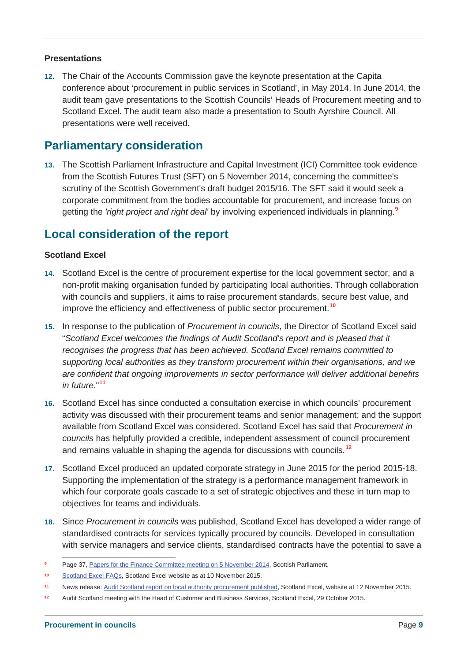#### **Presentations**

**12.** The Chair of the Accounts Commission gave the keynote presentation at the Capita conference about 'procurement in public services in Scotland', in May 2014. In June 2014, the audit team gave presentations to the Scottish Councils' Heads of Procurement meeting and to Scotland Excel. The audit team also made a presentation to South Ayrshire Council. All presentations were well received.

### **Parliamentary consideration**

**13.** The Scottish Parliament Infrastructure and Capital Investment (ICI) Committee took evidence from the Scottish Futures Trust (SFT) on 5 November 2014, concerning the committee's scrutiny of the Scottish Government's draft budget 2015/16. The SFT said it would seek a corporate commitment from the bodies accountable for procurement, and increase focus on getting the *'right project and right deal'* by involving experienced individuals in planning.**<sup>9</sup>**

## **Local consideration of the report**

#### **Scotland Excel**

- **14.** Scotland Excel is the centre of procurement expertise for the local government sector, and a non-profit making organisation funded by participating local authorities. Through collaboration with councils and suppliers, it aims to raise procurement standards, secure best value, and improve the efficiency and effectiveness of public sector procurement.**<sup>10</sup>**
- **15.** In response to the publication of *Procurement in councils*, the Director of Scotland Excel said "*Scotland Excel welcomes the findings of Audit Scotland's report and is pleased that it recognises the progress that has been achieved. Scotland Excel remains committed to supporting local authorities as they transform procurement within their organisations, and we are confident that ongoing improvements in sector performance will deliver additional benefits in future*."**<sup>11</sup>**
- **16.** Scotland Excel has since conducted a consultation exercise in which councils' procurement activity was discussed with their procurement teams and senior management; and the support available from Scotland Excel was considered. Scotland Excel has said that *Procurement in councils* has helpfully provided a credible, independent assessment of council procurement and remains valuable in shaping the agenda for discussions with councils.**<sup>12</sup>**
- **17.** Scotland Excel produced an updated corporate strategy in June 2015 for the period 2015-18. Supporting the implementation of the strategy is a performance management framework in which four corporate goals cascade to a set of strategic objectives and these in turn map to objectives for teams and individuals.
- **18.** Since *Procurement in councils* was published, Scotland Excel has developed a wider range of standardised contracts for services typically procured by councils. Developed in consultation with service managers and service clients, standardised contracts have the potential to save a

**Page 37, Papers for the Finance Committee meeting on 5 November 2014, Scottish Parliament.** 

**<sup>10</sup>** Scotland Excel FAQs, Scotland Excel website as at 10 November 2015.

**<sup>11</sup>** News release: Audit Scotland report on local authority procurement published, Scotland Excel, website at 12 November 2015.

**<sup>12</sup>** Audit Scotland meeting with the Head of Customer and Business Services, Scotland Excel, 29 October 2015.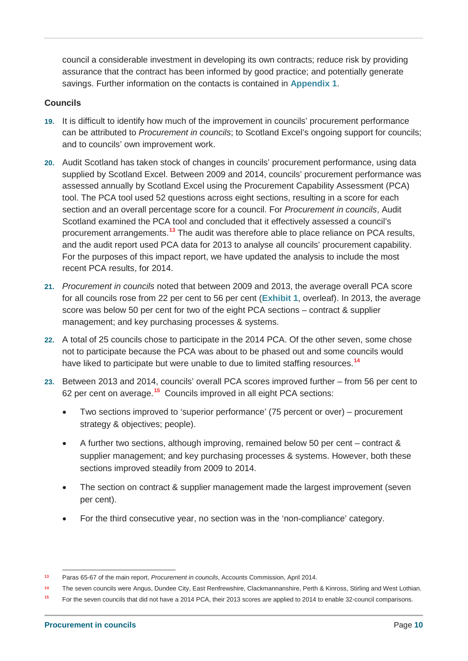council a considerable investment in developing its own contracts; reduce risk by providing assurance that the contract has been informed by good practice; and potentially generate savings. Further information on the contacts is contained in **Appendix 1**.

#### **Councils**

- **19.** It is difficult to identify how much of the improvement in councils' procurement performance can be attributed to *Procurement in councils*; to Scotland Excel's ongoing support for councils; and to councils' own improvement work.
- **20.** Audit Scotland has taken stock of changes in councils' procurement performance, using data supplied by Scotland Excel. Between 2009 and 2014, councils' procurement performance was assessed annually by Scotland Excel using the Procurement Capability Assessment (PCA) tool. The PCA tool used 52 questions across eight sections, resulting in a score for each section and an overall percentage score for a council. For *Procurement in councils*, Audit Scotland examined the PCA tool and concluded that it effectively assessed a council's procurement arrangements.**<sup>13</sup>** The audit was therefore able to place reliance on PCA results, and the audit report used PCA data for 2013 to analyse all councils' procurement capability. For the purposes of this impact report, we have updated the analysis to include the most recent PCA results, for 2014.
- **21.** *Procurement in councils* noted that between 2009 and 2013, the average overall PCA score for all councils rose from 22 per cent to 56 per cent (**Exhibit 1**, overleaf). In 2013, the average score was below 50 per cent for two of the eight PCA sections – contract & supplier management; and key purchasing processes & systems.
- **22.** A total of 25 councils chose to participate in the 2014 PCA. Of the other seven, some chose not to participate because the PCA was about to be phased out and some councils would have liked to participate but were unable to due to limited staffing resources.**<sup>14</sup>**
- **23.** Between 2013 and 2014, councils' overall PCA scores improved further from 56 per cent to 62 per cent on average.**<sup>15</sup>** Councils improved in all eight PCA sections:
	- Two sections improved to 'superior performance' (75 percent or over) procurement strategy & objectives; people).
	- A further two sections, although improving, remained below 50 per cent contract & supplier management; and key purchasing processes & systems. However, both these sections improved steadily from 2009 to 2014.
	- The section on contract & supplier management made the largest improvement (seven per cent).
	- For the third consecutive year, no section was in the 'non-compliance' category.

**<sup>13</sup>** Paras 65-67 of the main report, *Procurement in councils*, Accounts Commission, April 2014.

**<sup>14</sup>** The seven councils were Angus, Dundee City, East Renfrewshire, Clackmannanshire, Perth & Kinross, Stirling and West Lothian.

**<sup>15</sup>** For the seven councils that did not have a 2014 PCA, their 2013 scores are applied to 2014 to enable 32-council comparisons.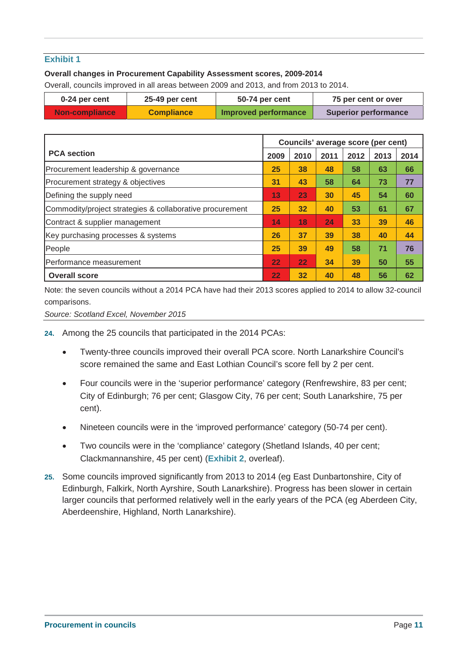#### **Exhibit 1**

#### **Overall changes in Procurement Capability Assessment scores, 2009-2014**

Overall, councils improved in all areas between 2009 and 2013, and from 2013 to 2014.

| 0-24 per cent         | 25-49 per cent    | 50-74 per cent       | 75 per cent or over         |
|-----------------------|-------------------|----------------------|-----------------------------|
| <b>Non-compliance</b> | <b>Compliance</b> | Improved performance | <b>Superior performance</b> |

|                                                          |                   | Councils' average score (per cent) |      |      |      |      |
|----------------------------------------------------------|-------------------|------------------------------------|------|------|------|------|
| <b>PCA</b> section                                       | 2009              | 2010                               | 2011 | 2012 | 2013 | 2014 |
| Procurement leadership & governance                      | 25                | 38                                 | 48   | 58   | 63   | 66   |
| Procurement strategy & objectives                        | 31                | 43                                 | 58   | 64   | 73   | 77   |
| Defining the supply need                                 | 13                | 23                                 | 30   | 45   | 54   | 60   |
| Commodity/project strategies & collaborative procurement | 25                | 32                                 | 40   | 53   | 61   | 67   |
| Contract & supplier management                           | 14                | 18                                 | 24   | 33   | 39   | 46   |
| Key purchasing processes & systems                       | 26                | 37                                 | 39   | 38   | 40   | 44   |
| People                                                   | 25                | 39                                 | 49   | 58   | 71   | 76   |
| <b>Performance measurement</b>                           | 22                | 22                                 | 34   | 39   | 50   | 55   |
| <b>Overall score</b>                                     | $22 \overline{)}$ | 32                                 | 40   | 48   | 56   | 62   |

Note: the seven councils without a 2014 PCA have had their 2013 scores applied to 2014 to allow 32-council comparisons.

*Source: Scotland Excel, November 2015*

- **24.** Among the 25 councils that participated in the 2014 PCAs:
	- x Twenty-three councils improved their overall PCA score. North Lanarkshire Council's score remained the same and East Lothian Council's score fell by 2 per cent.
	- Four councils were in the 'superior performance' category (Renfrewshire, 83 per cent; City of Edinburgh; 76 per cent; Glasgow City, 76 per cent; South Lanarkshire, 75 per cent).
	- Nineteen councils were in the 'improved performance' category (50-74 per cent).
	- Two councils were in the 'compliance' category (Shetland Islands, 40 per cent; Clackmannanshire, 45 per cent) (**Exhibit 2**, overleaf).
- **25.** Some councils improved significantly from 2013 to 2014 (eg East Dunbartonshire, City of Edinburgh, Falkirk, North Ayrshire, South Lanarkshire). Progress has been slower in certain larger councils that performed relatively well in the early years of the PCA (eg Aberdeen City, Aberdeenshire, Highland, North Lanarkshire).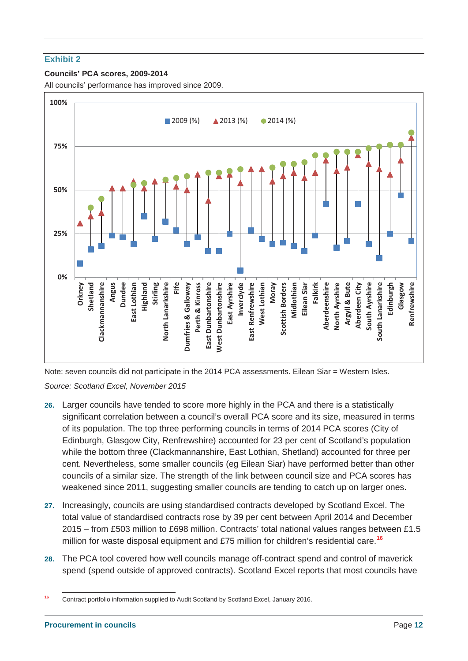#### **Exhibit 2**

#### **Councils' PCA scores, 2009-2014**

All councils' performance has improved since 2009.



Note: seven councils did not participate in the 2014 PCA assessments. Eilean Siar = Western Isles.

*Source: Scotland Excel, November 2015*

- **26.** Larger councils have tended to score more highly in the PCA and there is a statistically significant correlation between a council's overall PCA score and its size, measured in terms of its population. The top three performing councils in terms of 2014 PCA scores (City of Edinburgh, Glasgow City, Renfrewshire) accounted for 23 per cent of Scotland's population while the bottom three (Clackmannanshire, East Lothian, Shetland) accounted for three per cent. Nevertheless, some smaller councils (eg Eilean Siar) have performed better than other councils of a similar size. The strength of the link between council size and PCA scores has weakened since 2011, suggesting smaller councils are tending to catch up on larger ones.
- **27.** Increasingly, councils are using standardised contracts developed by Scotland Excel. The total value of standardised contracts rose by 39 per cent between April 2014 and December 2015 – from £503 million to £698 million. Contracts' total national values ranges between £1.5 million for waste disposal equipment and £75 million for children's residential care.**<sup>16</sup>**
- **28.** The PCA tool covered how well councils manage off-contract spend and control of maverick spend (spend outside of approved contracts). Scotland Excel reports that most councils have

**<sup>16</sup>** Contract portfolio information supplied to Audit Scotland by Scotland Excel, January 2016.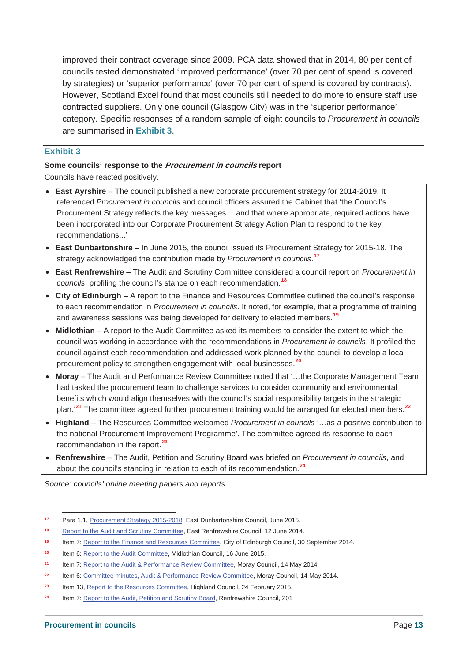improved their contract coverage since 2009. PCA data showed that in 2014, 80 per cent of councils tested demonstrated 'improved performance' (over 70 per cent of spend is covered by strategies) or 'superior performance' (over 70 per cent of spend is covered by contracts). However, Scotland Excel found that most councils still needed to do more to ensure staff use contracted suppliers. Only one council (Glasgow City) was in the 'superior performance' category. Specific responses of a random sample of eight councils to *Procurement in councils* are summarised in **Exhibit 3**.

#### **Exhibit 3**

# **Some councils' response to the Procurement in councils report**

Councils have reacted positively.

- **East Ayrshire** The council published a new corporate procurement strategy for 2014-2019. It referenced *Procurement in councils* and council officers assured the Cabinet that 'the Council's Procurement Strategy reflects the key messages… and that where appropriate, required actions have been incorporated into our Corporate Procurement Strategy Action Plan to respond to the key recommendations...'
- **East Dunbartonshire** In June 2015, the council issued its Procurement Strategy for 2015-18. The strategy acknowledged the contribution made by *Procurement in councils*. **17**
- x **East Renfrewshire** The Audit and Scrutiny Committee considered a council report on *Procurement in councils*, profiling the council's stance on each recommendation.**<sup>18</sup>**
- City of Edinburgh A report to the Finance and Resources Committee outlined the council's response to each recommendation in *Procurement in councils*. It noted, for example, that a programme of training and awareness sessions was being developed for delivery to elected members.**<sup>19</sup>**
- Midlothian A report to the Audit Committee asked its members to consider the extent to which the council was working in accordance with the recommendations in *Procurement in councils*. It profiled the council against each recommendation and addressed work planned by the council to develop a local procurement policy to strengthen engagement with local businesses.**<sup>20</sup>**
- x **Moray** The Audit and Performance Review Committee noted that '…the Corporate Management Team had tasked the procurement team to challenge services to consider community and environmental benefits which would align themselves with the council's social responsibility targets in the strategic plan.'**<sup>21</sup>** The committee agreed further procurement training would be arranged for elected members.**<sup>22</sup>**
- x **Highland** The Resources Committee welcomed *Procurement in councils* '…as a positive contribution to the national Procurement Improvement Programme'. The committee agreed its response to each recommendation in the report.**<sup>23</sup>**
- x **Renfrewshire** The Audit, Petition and Scrutiny Board was briefed on *Procurement in councils*, and about the council's standing in relation to each of its recommendation.**<sup>24</sup>**

*Source: councils' online meeting papers and reports*

**<sup>17</sup>** Para 1.1, Procurement Strategy 2015-2018, East Dunbartonshire Council, June 2015.

**<sup>18</sup>** Report to the Audit and Scrutiny Committee, East Renfrewshire Council, 12 June 2014.

**<sup>19</sup>** Item 7: Report to the Finance and Resources Committee, City of Edinburgh Council, 30 September 2014.

**<sup>20</sup>** Item 6: Report to the Audit Committee, Midlothian Council, 16 June 2015.

**<sup>21</sup>** Item 7: Report to the Audit & Performance Review Committee, Moray Council, 14 May 2014.

**<sup>22</sup>** Item 6: Committee minutes, Audit & Performance Review Committee, Moray Council, 14 May 2014.

**<sup>23</sup>** Item 13, Report to the Resources Committee, Highland Council, 24 February 2015.

**<sup>24</sup>** Item 7: Report to the Audit, Petition and Scrutiny Board, Renfrewshire Council, 201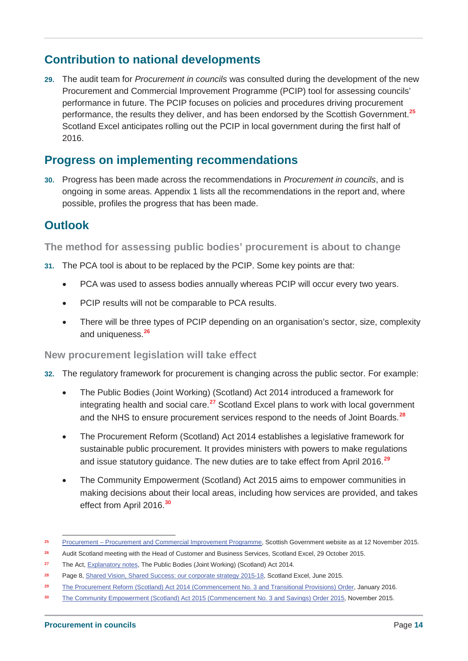# **Contribution to national developments**

**29.** The audit team for *Procurement in councils* was consulted during the development of the new Procurement and Commercial Improvement Programme (PCIP) tool for assessing councils' performance in future. The PCIP focuses on policies and procedures driving procurement performance, the results they deliver, and has been endorsed by the Scottish Government.**<sup>25</sup>** Scotland Excel anticipates rolling out the PCIP in local government during the first half of 2016.

# **Progress on implementing recommendations**

**30.** Progress has been made across the recommendations in *Procurement in councils*, and is ongoing in some areas. Appendix 1 lists all the recommendations in the report and, where possible, profiles the progress that has been made.

# **Outlook**

**The method for assessing public bodies' procurement is about to change**

- **31.** The PCA tool is about to be replaced by the PCIP. Some key points are that:
	- PCA was used to assess bodies annually whereas PCIP will occur every two years.
	- PCIP results will not be comparable to PCA results.
	- There will be three types of PCIP depending on an organisation's sector, size, complexity and uniqueness.**<sup>26</sup>**

#### **New procurement legislation will take effect**

- **32.** The regulatory framework for procurement is changing across the public sector. For example:
	- The Public Bodies (Joint Working) (Scotland) Act 2014 introduced a framework for integrating health and social care.**<sup>27</sup>** Scotland Excel plans to work with local government and the NHS to ensure procurement services respond to the needs of Joint Boards.**<sup>28</sup>**
	- The Procurement Reform (Scotland) Act 2014 establishes a legislative framework for sustainable public procurement. It provides ministers with powers to make regulations and issue statutory guidance. The new duties are to take effect from April 2016.**<sup>29</sup>**
	- The Community Empowerment (Scotland) Act 2015 aims to empower communities in making decisions about their local areas, including how services are provided, and takes effect from April 2016.**<sup>30</sup>**

**<sup>25</sup>** Procurement – Procurement and Commercial Improvement Programme, Scottish Government website as at 12 November 2015.

**<sup>26</sup>** Audit Scotland meeting with the Head of Customer and Business Services, Scotland Excel, 29 October 2015.

**<sup>27</sup>** The Act, Explanatory notes, The Public Bodies (Joint Working) (Scotland) Act 2014.

**<sup>28</sup>** Page 8, Shared Vision, Shared Success: our corporate strategy 2015-18, Scotland Excel, June 2015.

**<sup>29</sup>** The Procurement Reform (Scotland) Act 2014 (Commencement No. 3 and Transitional Provisions) Order, January 2016.

**<sup>30</sup>** The Community Empowerment (Scotland) Act 2015 (Commencement No. 3 and Savings) Order 2015, November 2015.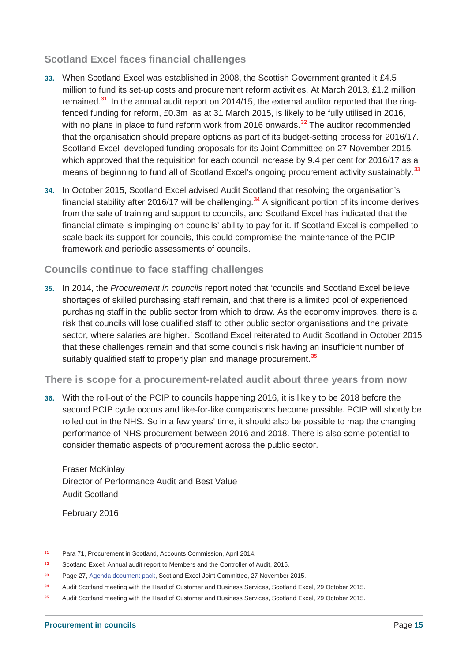#### **Scotland Excel faces financial challenges**

- **33.** When Scotland Excel was established in 2008, the Scottish Government granted it £4.5 million to fund its set-up costs and procurement reform activities. At March 2013, £1.2 million remained.**<sup>31</sup>** In the annual audit report on 2014/15, the external auditor reported that the ringfenced funding for reform, £0.3m as at 31 March 2015, is likely to be fully utilised in 2016, with no plans in place to fund reform work from 2016 onwards.**<sup>32</sup>** The auditor recommended that the organisation should prepare options as part of its budget-setting process for 2016/17. Scotland Excel developed funding proposals for its Joint Committee on 27 November 2015, which approved that the requisition for each council increase by 9.4 per cent for 2016/17 as a means of beginning to fund all of Scotland Excel's ongoing procurement activity sustainably.**<sup>33</sup>**
- **34.** In October 2015, Scotland Excel advised Audit Scotland that resolving the organisation's financial stability after 2016/17 will be challenging.**<sup>34</sup>** A significant portion of its income derives from the sale of training and support to councils, and Scotland Excel has indicated that the financial climate is impinging on councils' ability to pay for it. If Scotland Excel is compelled to scale back its support for councils, this could compromise the maintenance of the PCIP framework and periodic assessments of councils.

#### **Councils continue to face staffing challenges**

**35.** In 2014, the *Procurement in councils* report noted that 'councils and Scotland Excel believe shortages of skilled purchasing staff remain, and that there is a limited pool of experienced purchasing staff in the public sector from which to draw. As the economy improves, there is a risk that councils will lose qualified staff to other public sector organisations and the private sector, where salaries are higher.' Scotland Excel reiterated to Audit Scotland in October 2015 that these challenges remain and that some councils risk having an insufficient number of suitably qualified staff to properly plan and manage procurement.**<sup>35</sup>**

#### **There is scope for a procurement-related audit about three years from now**

**36.** With the roll-out of the PCIP to councils happening 2016, it is likely to be 2018 before the second PCIP cycle occurs and like-for-like comparisons become possible. PCIP will shortly be rolled out in the NHS. So in a few years' time, it should also be possible to map the changing performance of NHS procurement between 2016 and 2018. There is also some potential to consider thematic aspects of procurement across the public sector.

Fraser McKinlay Director of Performance Audit and Best Value Audit Scotland

February 2016

**<sup>31</sup>** Para 71, Procurement in Scotland, Accounts Commission, April 2014.

**<sup>32</sup>** Scotland Excel: Annual audit report to Members and the Controller of Audit, 2015.

**<sup>33</sup>** Page 27, Agenda document pack, Scotland Excel Joint Committee, 27 November 2015.

**<sup>34</sup>** Audit Scotland meeting with the Head of Customer and Business Services, Scotland Excel, 29 October 2015.

**<sup>35</sup>** Audit Scotland meeting with the Head of Customer and Business Services, Scotland Excel, 29 October 2015.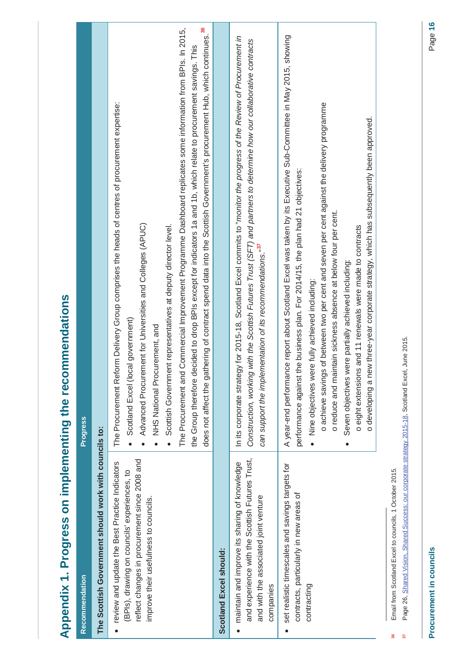| Appendix 1. Progress on implementing the recommendations                                                                                                                                 |                                                                                                                                                                                                                                                                                                                                                                                                                                                                                                                                                                                                                                                                                       |
|------------------------------------------------------------------------------------------------------------------------------------------------------------------------------------------|---------------------------------------------------------------------------------------------------------------------------------------------------------------------------------------------------------------------------------------------------------------------------------------------------------------------------------------------------------------------------------------------------------------------------------------------------------------------------------------------------------------------------------------------------------------------------------------------------------------------------------------------------------------------------------------|
| Recommendation                                                                                                                                                                           | <b>Progress</b>                                                                                                                                                                                                                                                                                                                                                                                                                                                                                                                                                                                                                                                                       |
| The Scottish Government should work with councils to:                                                                                                                                    |                                                                                                                                                                                                                                                                                                                                                                                                                                                                                                                                                                                                                                                                                       |
| reflect changes in procurement since 2008 and<br>review and update the Best Practice Indicators<br>(BPIs), drawing on councils' experiences, to<br>improve their usefulness to councils. | does not affect the gathering of contract spend data into the Scottish Government's procurement Hub, which continues. <sup>36</sup><br>Commercial Improvement Programme Dashboard replicates some information from BPIs. In 2015,<br>the Group therefore decided to drop BPIs except for indicators 1a and 1b, which relate to procurement savings. This<br>The Procurement Reform Delivery Group comprises the heads of centres of procurement expertise:<br>Advanced Procurement for Universities and Colleges (APUC)<br>Scottish Government representatives at deputy director level.<br>Scotland Excel (local government)<br>NHS National Procurement, and<br>The Procurement and |
| Scotland Excel should:                                                                                                                                                                   |                                                                                                                                                                                                                                                                                                                                                                                                                                                                                                                                                                                                                                                                                       |
| and experience with the Scottish Futures Trust,<br>maintain and improve its sharing of knowledge<br>and with the associated joint venture<br>companies                                   | In its corporate strategy for 2015-18, Scotland Excel commits to "monitor the progress of the Review of Procurement in<br>Construction, working with the Scottish Futures Trust (SFT) and partners to determine how our collaborative contracts<br>can support the implementation of its recommendations." <sup>37</sup>                                                                                                                                                                                                                                                                                                                                                              |
| set realistic timescales and savings targets for<br>contracts, particularly in new areas of<br>contracting                                                                               | A year-end performance report about Scotland Excel was taken by its Executive Sub-Committee in May 2015, showing<br>o achieve savings of between two per cent and seven per cent against the delivery programme<br>o developing a new three-year corporate strategy, which has subsequently been approved.<br>performance against the business plan. For 2014/15, the plan had 21 objectives:<br>o reduce and maintain sickness absence at below four per cent.<br>o eight extensions and 11 renewals were made to contracts<br>Seven objectives were partially achieved including:<br>Nine objectives were fully achieved including:                                                 |
| Page 26. Shared Vision, Shared Success: our corporate strategy 2015-18. Scotland Excel, June 2015.<br>Email from Scotland Excel to councils, 1 October 2015.                             |                                                                                                                                                                                                                                                                                                                                                                                                                                                                                                                                                                                                                                                                                       |

**37** Page 26, Shared Vision, Shared Success: our corporate strategy 2015-18, Scotland Excel, June 2015.í. נ<br>פ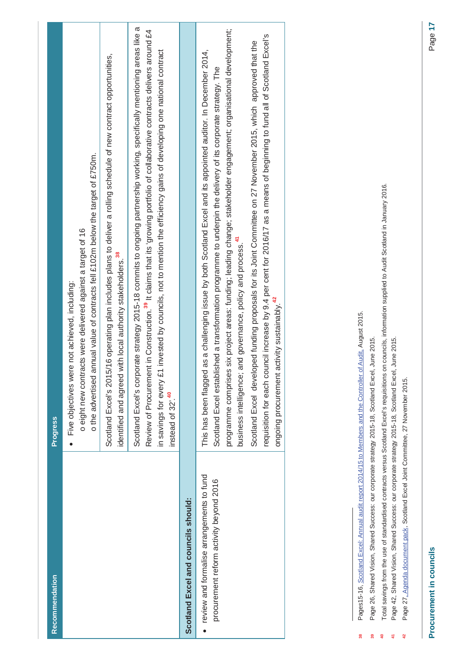| Recommendation                                                                                                                                                                                                          | Progress                                                                                                                                                                                                                                                                                                                                                                                                                                                                                                                                                                                                                                                                                                                                                  |
|-------------------------------------------------------------------------------------------------------------------------------------------------------------------------------------------------------------------------|-----------------------------------------------------------------------------------------------------------------------------------------------------------------------------------------------------------------------------------------------------------------------------------------------------------------------------------------------------------------------------------------------------------------------------------------------------------------------------------------------------------------------------------------------------------------------------------------------------------------------------------------------------------------------------------------------------------------------------------------------------------|
|                                                                                                                                                                                                                         | o the advertised annual value of contracts fell £102m below the target of £750m.<br>o eight new contracts were delivered against a target of 16<br>Five objectives were not achieved, including:<br>$\bullet$                                                                                                                                                                                                                                                                                                                                                                                                                                                                                                                                             |
|                                                                                                                                                                                                                         | Scotland Excel's 2015/16 operating plan includes plans to deliver a rolling schedule of new contract opportunities,<br>identified and agreed with local authority stakeholders. <sup>38</sup>                                                                                                                                                                                                                                                                                                                                                                                                                                                                                                                                                             |
|                                                                                                                                                                                                                         | Scotland Excel's corporate strategy 2015-18 commits to ongoing partnership working, specifically mentioning areas like a<br>Review of Procurement in Construction. <sup>39</sup> It claims that its 'growing portfolio of collaborative contracts delivers around £4<br>invested by councils, not to mention the efficiency gains of developing one national contract<br>in savings for every £1<br>instead of 32'. <sup>40</sup>                                                                                                                                                                                                                                                                                                                         |
| Scotland Excel and councils should:                                                                                                                                                                                     |                                                                                                                                                                                                                                                                                                                                                                                                                                                                                                                                                                                                                                                                                                                                                           |
| Pages15-16, Scotland Excel: Annual audit report 2014/15 to Members and the Controller of Audit, August 2015.<br>review and formalise arrangements to fund<br>procurement reform activity beyond 2016<br>$\bullet$<br>38 | six project areas: funding; leading change; stakeholder engagement; organisational development;<br>requisition for each council increase by 9.4 per cent for 2016/17 as a means of beginning to fund all of Scotland Excel's<br>ped funding proposals for its Joint Committee on 27 November 2015, which approved that the<br>as a challenging issue by both Scotland Excel and its appointed auditor. In December 2014,<br>Scotland Excel established a transformation programme to underpin the delivery of its corporate strategy. The<br>business intelligence; and governance, policy and process. <sup>41</sup><br>ongoing procurement activity sustainably. <sup>42</sup><br>programme comprises<br>Scotland Excel develo<br>This has been flagged |
|                                                                                                                                                                                                                         |                                                                                                                                                                                                                                                                                                                                                                                                                                                                                                                                                                                                                                                                                                                                                           |

- Page 26, Shared Vision, Shared Success: our corporate strategy 2015-18, Scotland Excel, June 2015. **39** Page 26, Shared Vision, Shared Success: our corporate strategy 2015-18, Scotland Excel, June 2015.  $39<sub>o</sub>$
- Total savings from the use of standardised contracts versus Scotland Excel's requisitions on councils, information supplied to Audit Scotland in January 2016. **40** Total savings from the use of standardised contracts versus Scotland Excel's requisitions on councils, information supplied to Audit Scotland in January 2016.  $\frac{1}{2}$ 
	- Page 42, Shared Vision, Shared Success: our corporate strategy 2015-18, Scotland Excel, June 2015. **41** Page 42, Shared Vision, Shared Success: our corporate strategy 2015-18, Scotland Excel, June 2015.  $\frac{1}{4}$
- Page 27, Agenda document pack, Scotland Excel Joint Committee, 27 November 2015. **42** Page 27, Agenda document pack, Scotland Excel Joint Committee, 27 November 2015.  $\frac{1}{2}$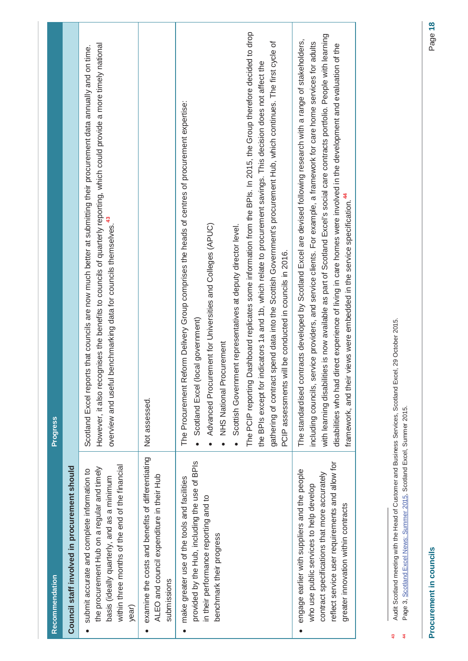|    | <b>Recommendation</b>                                                                                                                                                                                                             | <b>Progress</b>                                                                                                                                                                                                                                                                                                                                                                                                                                                                                                                                                                                                                                                                                                              |
|----|-----------------------------------------------------------------------------------------------------------------------------------------------------------------------------------------------------------------------------------|------------------------------------------------------------------------------------------------------------------------------------------------------------------------------------------------------------------------------------------------------------------------------------------------------------------------------------------------------------------------------------------------------------------------------------------------------------------------------------------------------------------------------------------------------------------------------------------------------------------------------------------------------------------------------------------------------------------------------|
|    | Council staff involved in procurement should                                                                                                                                                                                      |                                                                                                                                                                                                                                                                                                                                                                                                                                                                                                                                                                                                                                                                                                                              |
|    | within three months of the end of the financial<br>the procurement Hub on a regular and timely<br>submit accurate and complete information to<br>basis (ideally quarterly, and as a minimum<br>year)                              | However, it also recognises the benefits to councils of quarterly reporting, which could provide a more timely national<br>Scotland Excel reports that councils are now much better at submitting their procurement data annually and on time.<br>overview and useful benchmarking data for councils themselves. <sup>43</sup>                                                                                                                                                                                                                                                                                                                                                                                               |
|    | examine the costs and benefits of differentiating<br>ALEO and council expenditure in their Hub<br>submissions                                                                                                                     | Not assessed.                                                                                                                                                                                                                                                                                                                                                                                                                                                                                                                                                                                                                                                                                                                |
|    | provided by the Hub, including the use of BPIs<br>make greater use of the tools and facilities<br>in their performance reporting and to<br>benchmark their progress                                                               | The PCIP reporting Dashboard replicates some information from the BPIs. In 2015, the Group therefore decided to drop<br>gathering of contract spend data into the Scottish Government's procurement Hub, which continues. The first cycle of<br>the BPIs except for indicators 1a and 1b, which relate to procurement savings. This decision does not affect the<br>The Procurement Reform Delivery Group comprises the heads of centres of procurement expertise:<br>Advanced Procurement for Universities and Colleges (APUC)<br>Scottish Government representatives at deputy director level.<br>PCIP assessments will be conducted in councils in 2016.<br>Scotland Excel (local government)<br>NHS National Procurement |
|    | reflect service user requirements and allow for<br>engage earlier with suppliers and the people<br>contract specifications that more accurately<br>who use public services to help develop<br>greater innovation within contracts | with learning disabilities is now available as part of Scotland Excel's social care contracts portfolio. People with learning<br>The standardised contracts developed by Scotland Excel are devised following research with a range of stakeholders,<br>including councils, service providers, and service clients. For example, a framework for care home services for adults<br>disabilities who had direct experience of living in care homes were involved in the development and evaluation of the<br>views were embedded in the service specification. <sup>44</sup><br>framework, and their                                                                                                                           |
| 43 | Audit Scotland meeting with the Head of Customer and Business Services, Scotland Excel, 29 October 2015.                                                                                                                          |                                                                                                                                                                                                                                                                                                                                                                                                                                                                                                                                                                                                                                                                                                                              |

Page 3, Scotland Excel News: Summer 2015, Scotland Excel, Summer 2015. **44** Page 3, Scotland Excel News: Summer 2015, Scotland Excel, Summer 2015.44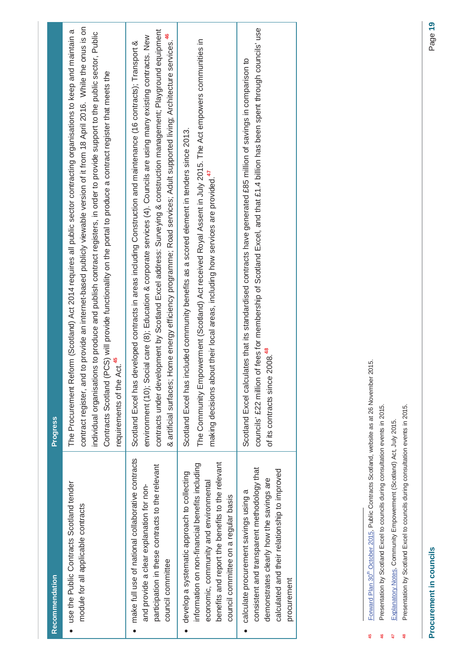| Recommendation                                                                                                                                                                                                                      | Progress                                                                                                                                                                                                                                                                                                                                                                                                                                                                                                                                                |
|-------------------------------------------------------------------------------------------------------------------------------------------------------------------------------------------------------------------------------------|---------------------------------------------------------------------------------------------------------------------------------------------------------------------------------------------------------------------------------------------------------------------------------------------------------------------------------------------------------------------------------------------------------------------------------------------------------------------------------------------------------------------------------------------------------|
| use the Public Contracts Scotland tender<br>module for all applicable contracts                                                                                                                                                     | o provide an internet-based publicly viewable version of it from 18 April 2016. While the onus is on<br>The Procurement Reform (Scotland) Act 2014 requires all public sector contracting organisations to keep and maintain a<br>individual organisations to produce and publish contract registers, in order to provide support to the public sector, Public<br>Contracts Scotland (PCS) will provide functionality on the portal to produce a contract register that meets the<br>requirements of the Act. <sup>45</sup><br>contract register, and t |
| make full use of national collaborative contracts<br>participation in these contracts to the relevant<br>and provide a clear explanation for non-<br>council committee                                                              | contracts under development by Scotland Excel address: Surveying & construction management; Playground equipment<br>environment (10); Social care (8); Education & corporate services (4). Councils are using many existing contracts. New<br>& artificial surfaces; Home energy efficiency programme; Road services; Adult supported living; Architecture services.<br>Scotland Excel has developed contracts in areas including Construction and maintenance (16 contracts); Transport &                                                              |
| benefits and report the benefits to the relevant<br>information on non-financial benefits including<br>develop a systematic approach to collecting<br>economic, community and environmental<br>council committee on a regular basis | The Community Empowerment (Scotland) Act received Royal Assent in July 2015. The Act empowers communities in<br>Scotland Excel has included community benefits as a scored element in tenders since 2013.<br>making decisions about their local areas, including how services are provided. <sup>47</sup>                                                                                                                                                                                                                                               |
| consistent and transparent methodology that<br>calculated and their relationship to improved<br>demonstrates clearly how the savings are<br>calculate procurement savings using a<br>procurement                                    | councils' £22 million of fees for membership of Scotland Excel, and that £1.4 billion has been spent through councils' use<br>Scotland Excel calculates that its standardised contracts have generated £85 million of savings in comparison to<br>of its contracts since 2008. <sup>48</sup>                                                                                                                                                                                                                                                            |
|                                                                                                                                                                                                                                     |                                                                                                                                                                                                                                                                                                                                                                                                                                                                                                                                                         |

Forward Plan 30<sup>th</sup> October 2015, Public Contracts Scotland, website as at 26 November 2015. **45** Forward Plan 30th October 2015, Public Contracts Scotland, website as at 26 November 2015. 45

Presentation by Scotland Excel to councils during consultation events in 2015. **46** Presentation by Scotland Excel to councils during consultation events in 2015.  $\frac{6}{3}$ 

Explanatory Notes, Community Empowerment (Scotland) Act, July 2015. **47** Explanatory Notes, Community Empowerment (Scotland) Act, July 2015.  $47$ 

Presentation by Scotland Excel to councils during consultation events in 2015. **48** Presentation by Scotland Excel to councils during consultation events in 2015. $\frac{8}{3}$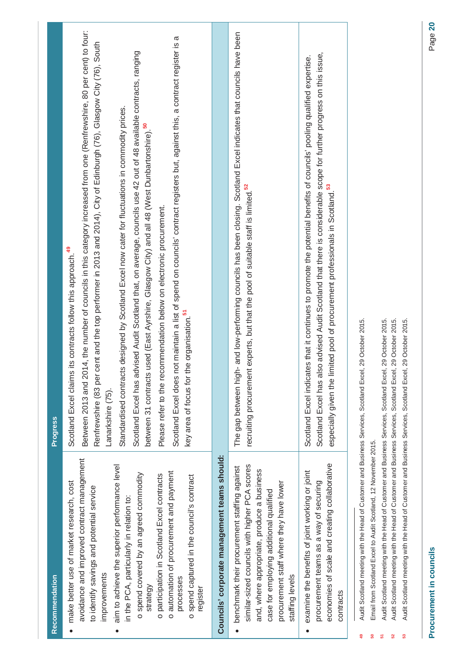|   | Recommendation                                                                                                                                                                                                                                                                                                                                                                                                                                                          | <b>Progress</b>                                                                                                                                                                                                                                                                                                                                                                                                                                                                                                                                                                                                                                                                                                                                                                                                                                                                                                                                           |  |
|---|-------------------------------------------------------------------------------------------------------------------------------------------------------------------------------------------------------------------------------------------------------------------------------------------------------------------------------------------------------------------------------------------------------------------------------------------------------------------------|-----------------------------------------------------------------------------------------------------------------------------------------------------------------------------------------------------------------------------------------------------------------------------------------------------------------------------------------------------------------------------------------------------------------------------------------------------------------------------------------------------------------------------------------------------------------------------------------------------------------------------------------------------------------------------------------------------------------------------------------------------------------------------------------------------------------------------------------------------------------------------------------------------------------------------------------------------------|--|
| ٠ | avoidance and improved contract management<br>aim to achieve the superior performance level<br>o automation of procurement and payment<br>o spend covered by an agreed commodity<br>o participation in Scotland Excel contracts<br>o spend captured in the council's contract<br>make better use of market research, cost<br>to identify savings and potential service<br>in the PCA, particularly in relation to:<br>improvements<br>processes<br>strategy<br>register | Between 2013 and 2014, the number of councils in this category increased from one (Renfrewshire, 80 per cent) to four:<br>Scotland Excel does not maintain a list of spend on councils' contract registers but, against this, a contract register is a<br>Renfrewshire (83 per cent and the top performer in 2013 and 2014), City of Edinburgh (76), Glasgow City (76), South<br>Scotland Excel has advised Audit Scotland that, on average, councils use 42 out of 48 available contracts, ranging<br>Standardised contracts designed by Scotland Excel now cater for fluctuations in commodity prices.<br>used (East Ayrshire, Glasgow City) and all 48 (West Dunbartonshire). <sup>50</sup><br>Please refer to the recommendation below on electronic procurement.<br>its contracts follow this approach. <sup>49</sup><br>key area of focus for the organisation. <sup>51</sup><br>Scotland Excel claims<br>between 31 contracts<br>Lanarkshire (75). |  |
|   | Councils' corporate management teams should:                                                                                                                                                                                                                                                                                                                                                                                                                            |                                                                                                                                                                                                                                                                                                                                                                                                                                                                                                                                                                                                                                                                                                                                                                                                                                                                                                                                                           |  |
|   | similar-sized councils with higher PCA scores<br>benchmark their procurement staffing against<br>and, where appropriate, produce a business<br>procurement staff where they have lower<br>case for employing additional qualified<br>staffing levels                                                                                                                                                                                                                    | The gap between high- and low-performing councils has been closing. Scotland Excel indicates that councils have been<br>recruiting procurement experts, but that the pool of suitable staff is limited. <sup>52</sup>                                                                                                                                                                                                                                                                                                                                                                                                                                                                                                                                                                                                                                                                                                                                     |  |
|   | economies of scale and creating collaborative<br>examine the benefits of joint working or joint<br>procurement teams as a way of securing<br>contracts                                                                                                                                                                                                                                                                                                                  | Scotland Excel has also advised Audit Scotland that there is considerable scope for further progress on this issue,<br>Scotland Excel indicates that it continues to promote the potential benefits of councils' pooling qualified expertise.<br>especially given the limited pool of procurement professionals in Scotland. <sup>53</sup>                                                                                                                                                                                                                                                                                                                                                                                                                                                                                                                                                                                                                |  |
| ఞ | Audit Scotland meeting with the Head of Customer and Business Services, Scotland Excel, 29 October 2015.<br>Audit Scotland meeting with the Head of Customer and Business Services, Scotland Excel, 29 October 2015.<br>Audit Scotland meeting with the Head of Customer and Business Services, Scotland Excel<br>Email from Scotland Excel to Audit Scotland, 12 November 2015.                                                                                        | , 29 October 2015.                                                                                                                                                                                                                                                                                                                                                                                                                                                                                                                                                                                                                                                                                                                                                                                                                                                                                                                                        |  |

# **Procurement in councils** Page **20** Procurement in councils

**53** Audit Scotland meeting with the Head of Customer and Business Services, Scotland Excel, 29 October 2015.

 $53<sub>o</sub>$ 

Audit Scotland meeting with the Head of Customer and Business Services, Scotland Excel, 29 October 2015.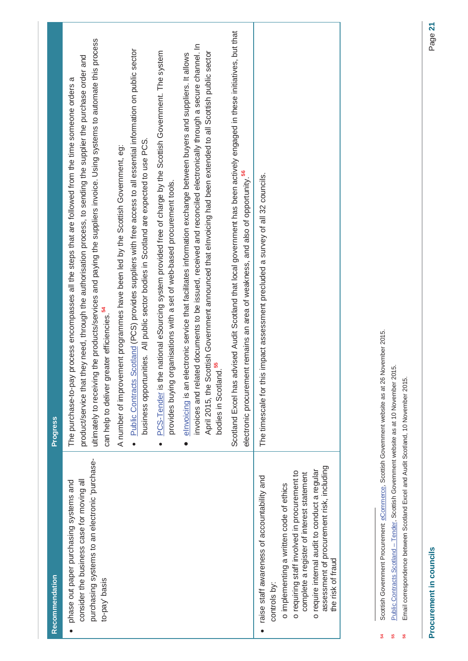| Recommendation                                                                                                                                                                                                                                                                                                         | <b>Progress</b>                                                                                                                                                                                                                                                                                                                                                                                                                                                                                                                                                                                                                                                                                                                                                                                                                                                                                                                                                                                                                                                                                                                                                                                                                                                                                         |
|------------------------------------------------------------------------------------------------------------------------------------------------------------------------------------------------------------------------------------------------------------------------------------------------------------------------|---------------------------------------------------------------------------------------------------------------------------------------------------------------------------------------------------------------------------------------------------------------------------------------------------------------------------------------------------------------------------------------------------------------------------------------------------------------------------------------------------------------------------------------------------------------------------------------------------------------------------------------------------------------------------------------------------------------------------------------------------------------------------------------------------------------------------------------------------------------------------------------------------------------------------------------------------------------------------------------------------------------------------------------------------------------------------------------------------------------------------------------------------------------------------------------------------------------------------------------------------------------------------------------------------------|
| purchasing systems to an electronic 'purchase-<br>consider the business case for moving all<br>phase out paper purchasing systems and<br>to-pay basis                                                                                                                                                                  | ultimately to receiving the products/services and paying the suppliers invoice. Using systems to automate this process<br>invoices and related documents to be issued, received and reconciled electronically through a secure channel. In<br>Public Contracts Scotland (PCS) provides suppliers with free access to all essential information on public sector<br>PCS-Tender is the national eSourcing system provided free of charge by the Scottish Government. The system<br>April 2015, the Scottish Government announced that elnvoicing had been extended to all Scottish public sector<br>elnvoicing is an electronic service that facilitates information exchange between buyers and suppliers. It allows<br>product/service that they need, through the authorisation process, to sending the supplier the purchase order and<br>process encompasses all the steps that are followed from the time someone orders a<br>business opportunities. All public sector bodies in Scotland are expected to use PCS.<br>A number of improvement programmes have been led by the Scottish Government, eg:<br>ganisations with a set of web-based procurement tools.<br>can help to deliver greater efficiencies. <sup>54</sup><br>provides buying or<br>The purchase-to-pay<br>$\bullet$<br>$\bullet$ |
|                                                                                                                                                                                                                                                                                                                        | Scotland Excel has advised Audit Scotland that local government has been actively engaged in these initiatives, but that<br>electronic procurement remains an area of weakness, and also of opportunity. <sup>56</sup><br>bodies in Scotland                                                                                                                                                                                                                                                                                                                                                                                                                                                                                                                                                                                                                                                                                                                                                                                                                                                                                                                                                                                                                                                            |
| assessment of procurement risk, including<br>o require internal audit to conduct a regular<br>o requiring staff involved in procurement to<br>complete a register of interest statement<br>raise staff awareness of accountability and<br>o implementing a written code of ethics<br>the risk of fraud<br>controls by: | The timescale for this impact assessment precluded a survey of all 32 councils.                                                                                                                                                                                                                                                                                                                                                                                                                                                                                                                                                                                                                                                                                                                                                                                                                                                                                                                                                                                                                                                                                                                                                                                                                         |
| Scottish Government Procurement: eCommerce, Scottish Government website as at 26 November 2015                                                                                                                                                                                                                         |                                                                                                                                                                                                                                                                                                                                                                                                                                                                                                                                                                                                                                                                                                                                                                                                                                                                                                                                                                                                                                                                                                                                                                                                                                                                                                         |

Billis Economistes as at 20 November 20 November 20 November 2013. **54** Scottish Government Procurement: eCommerce, Scottish Government website as at 26 November 2015. 

Public Contracts Scotland - Tender, Scottish Government website as at 10 November 2015. **55** Public Contracts Scotland – Tender, Scottish Government website as at 10 November 2015. 55

Email correspondence between Scotland Excel and Audit Scotland, 10 November 2015. **56** Email correspondence between Scotland Excel and Audit Scotland, 10 November 2015.56

**Procurement in councils** Page **21** Procurement in councils